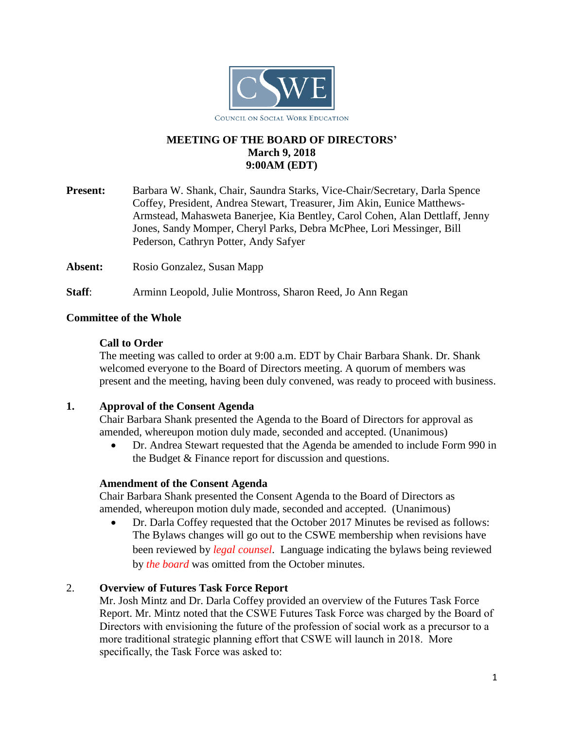

# **MEETING OF THE BOARD OF DIRECTORS' March 9, 2018 9:00AM (EDT)**

**Present:** Barbara W. Shank, Chair, Saundra Starks, Vice-Chair/Secretary, Darla Spence Coffey, President, Andrea Stewart, Treasurer, Jim Akin, Eunice Matthews-Armstead, Mahasweta Banerjee, Kia Bentley, Carol Cohen, Alan Dettlaff, Jenny Jones, Sandy Momper, Cheryl Parks, Debra McPhee, Lori Messinger, Bill Pederson, Cathryn Potter, Andy Safyer

Absent: Rosio Gonzalez, Susan Mapp

**Staff**: Arminn Leopold, Julie Montross, Sharon Reed, Jo Ann Regan

### **Committee of the Whole**

### **Call to Order**

The meeting was called to order at 9:00 a.m. EDT by Chair Barbara Shank. Dr. Shank welcomed everyone to the Board of Directors meeting. A quorum of members was present and the meeting, having been duly convened, was ready to proceed with business.

### **1. Approval of the Consent Agenda**

Chair Barbara Shank presented the Agenda to the Board of Directors for approval as amended, whereupon motion duly made, seconded and accepted. (Unanimous)

• Dr. Andrea Stewart requested that the Agenda be amended to include Form 990 in the Budget & Finance report for discussion and questions.

### **Amendment of the Consent Agenda**

Chair Barbara Shank presented the Consent Agenda to the Board of Directors as amended, whereupon motion duly made, seconded and accepted. (Unanimous)

• Dr. Darla Coffey requested that the October 2017 Minutes be revised as follows: The Bylaws changes will go out to the CSWE membership when revisions have been reviewed by *legal counsel*. Language indicating the bylaws being reviewed by *the board* was omitted from the October minutes.

# 2. **Overview of Futures Task Force Report**

Mr. Josh Mintz and Dr. Darla Coffey provided an overview of the Futures Task Force Report. Mr. Mintz noted that the CSWE Futures Task Force was charged by the Board of Directors with envisioning the future of the profession of social work as a precursor to a more traditional strategic planning effort that CSWE will launch in 2018. More specifically, the Task Force was asked to: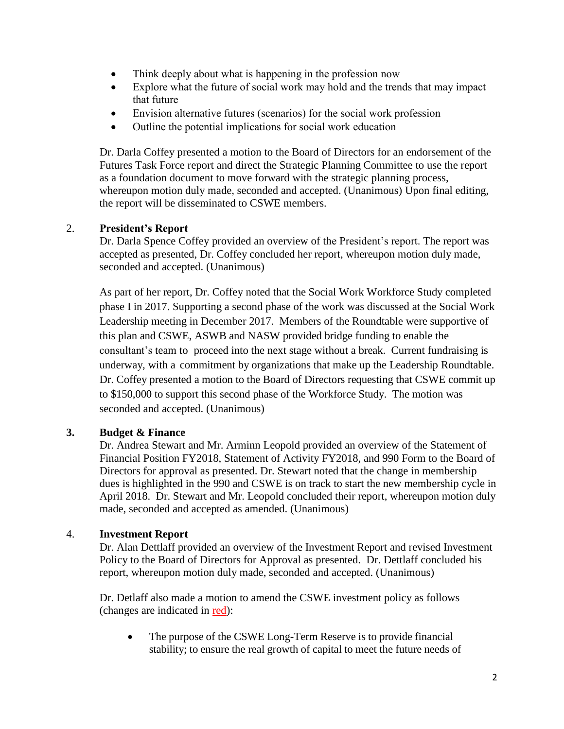- Think deeply about what is happening in the profession now
- Explore what the future of social work may hold and the trends that may impact that future
- Envision alternative futures (scenarios) for the social work profession
- Outline the potential implications for social work education

Dr. Darla Coffey presented a motion to the Board of Directors for an endorsement of the Futures Task Force report and direct the Strategic Planning Committee to use the report as a foundation document to move forward with the strategic planning process, whereupon motion duly made, seconded and accepted. (Unanimous) Upon final editing, the report will be disseminated to CSWE members.

# 2. **President's Report**

Dr. Darla Spence Coffey provided an overview of the President's report. The report was accepted as presented, Dr. Coffey concluded her report, whereupon motion duly made, seconded and accepted. (Unanimous)

As part of her report, Dr. Coffey noted that the Social Work Workforce Study completed phase I in 2017. Supporting a second phase of the work was discussed at the Social Work Leadership meeting in December 2017. Members of the Roundtable were supportive of this plan and CSWE, ASWB and NASW provided bridge funding to enable the consultant's team to proceed into the next stage without a break. Current fundraising is underway, with a commitment by organizations that make up the Leadership Roundtable. Dr. Coffey presented a motion to the Board of Directors requesting that CSWE commit up to \$150,000 to support this second phase of the Workforce Study. The motion was seconded and accepted. (Unanimous)

# **3. Budget & Finance**

Dr. Andrea Stewart and Mr. Arminn Leopold provided an overview of the Statement of Financial Position FY2018, Statement of Activity FY2018, and 990 Form to the Board of Directors for approval as presented. Dr. Stewart noted that the change in membership dues is highlighted in the 990 and CSWE is on track to start the new membership cycle in April 2018. Dr. Stewart and Mr. Leopold concluded their report, whereupon motion duly made, seconded and accepted as amended. (Unanimous)

### 4. **Investment Report**

Dr. Alan Dettlaff provided an overview of the Investment Report and revised Investment Policy to the Board of Directors for Approval as presented. Dr. Dettlaff concluded his report, whereupon motion duly made, seconded and accepted. (Unanimous)

Dr. Detlaff also made a motion to amend the CSWE investment policy as follows (changes are indicated in red):

• The purpose of the CSWE Long-Term Reserve is to provide financial stability; to ensure the real growth of capital to meet the future needs of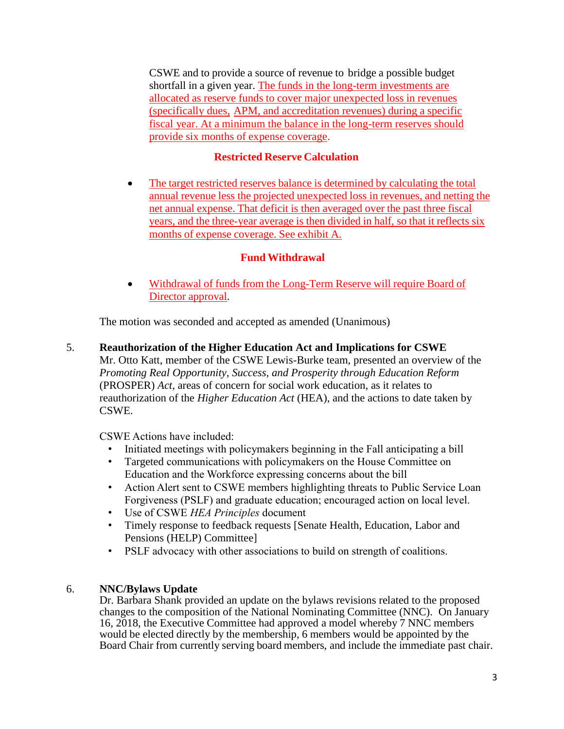CSWE and to provide a source of revenue to bridge a possible budget shortfall in a given year. The funds in the long-term investments are allocated as reserve funds to cover major unexpected loss in revenues (specifically dues, APM, and accreditation revenues) during a specific fiscal year. At a minimum the balance in the long-term reserves should provide six months of expense coverage.

## **Restricted Reserve Calculation**

• The target restricted reserves balance is determined by calculating the total annual revenue less the projected unexpected loss in revenues, and netting the net annual expense. That deficit is then averaged over the past three fiscal years, and the three-year average is then divided in half, so that it reflects six months of expense coverage. See exhibit A.

### **Fund Withdrawal**

• Withdrawal of funds from the Long-Term Reserve will require Board of Director approval.

The motion was seconded and accepted as amended (Unanimous)

5. **Reauthorization of the Higher Education Act and Implications for CSWE**

Mr. Otto Katt, member of the CSWE Lewis-Burke team, presented an overview of the *Promoting Real Opportunity, Success, and Prosperity through Education Reform* (PROSPER) *Act*, areas of concern for social work education, as it relates to reauthorization of the *Higher Education Act* (HEA), and the actions to date taken by CSWE.

CSWE Actions have included:

- Initiated meetings with policymakers beginning in the Fall anticipating a bill
- Targeted communications with policymakers on the House Committee on Education and the Workforce expressing concerns about the bill
- Action Alert sent to CSWE members highlighting threats to Public Service Loan Forgiveness (PSLF) and graduate education; encouraged action on local level.
- Use of CSWE *HEA Principles* document
- Timely response to feedback requests [Senate Health, Education, Labor and Pensions (HELP) Committee]
- PSLF advocacy with other associations to build on strength of coalitions.

### 6. **NNC/Bylaws Update**

Dr. Barbara Shank provided an update on the bylaws revisions related to the proposed changes to the composition of the National Nominating Committee (NNC). On January 16, 2018, the Executive Committee had approved a model whereby 7 NNC members would be elected directly by the membership, 6 members would be appointed by the Board Chair from currently serving board members, and include the immediate past chair.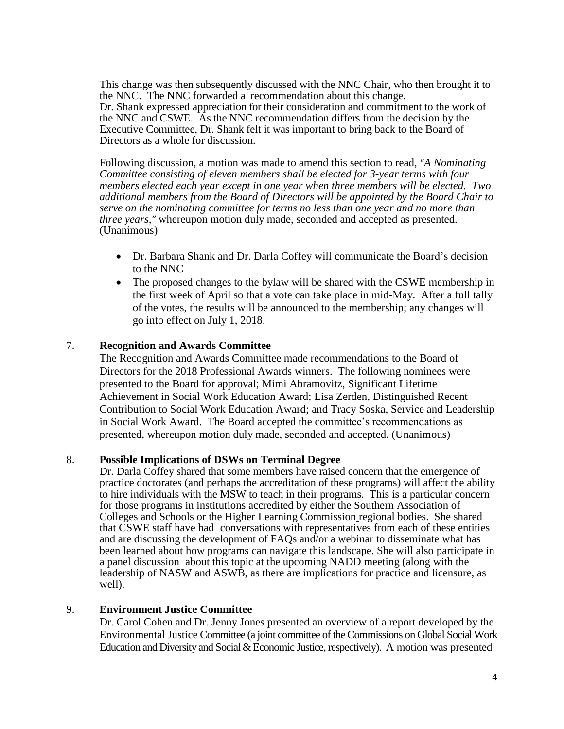This change was then subsequently discussed with the NNC Chair, who then brought it to the NNC. The NNC forwarded a recommendation about this change. Dr. Shank expressed appreciation for their consideration and commitment to the work of the NNC and CSWE. As the NNC recommendation differs from the decision by the Executive Committee, Dr. Shank felt it was important to bring back to the Board of Directors as a whole for discussion.

Following discussion, a motion was made to amend this section to read, "*A Nominating Committee consisting of eleven members shall be elected for 3-year terms with four members elected each year except in one year when three members will be elected. Two additional members from the Board of Directors will be appointed by the Board Chair to serve on the nominating committee for terms no less than one year and no more than three years,"* whereupon motion duly made, seconded and accepted as presented. (Unanimous)

- Dr. Barbara Shank and Dr. Darla Coffey will communicate the Board's decision to the NNC
- The proposed changes to the bylaw will be shared with the CSWE membership in the first week of April so that a vote can take place in mid-May. After a full tally of the votes, the results will be announced to the membership; any changes will go into effect on July 1, 2018.

#### 7. **Recognition and Awards Committee**

The Recognition and Awards Committee made recommendations to the Board of Directors for the 2018 Professional Awards winners. The following nominees were presented to the Board for approval; Mimi Abramovitz, Significant Lifetime Achievement in Social Work Education Award; Lisa Zerden, Distinguished Recent Contribution to Social Work Education Award; and Tracy Soska, Service and Leadership in Social Work Award. The Board accepted the committee's recommendations as presented, whereupon motion duly made, seconded and accepted. (Unanimous)

### 8. **Possible Implications of DSWs on Terminal Degree**

Dr. Darla Coffey shared that some members have raised concern that the emergence of practice doctorates (and perhaps the accreditation of these programs) will affect the ability to hire individuals with the MSW to teach in their programs. This is a particular concern for those programs in institutions accredited by either the Southern Association of Colleges and Schools or the Higher Learning Commission regional bodies. She shared that CSWE staff have had conversations with representatives from each of these entities and are discussing the development of FAQs and/or a webinar to disseminate what has been learned about how programs can navigate this landscape. She will also participate in a panel discussion about this topic at the upcoming NADD meeting (along with the leadership of NASW and ASWB, as there are implications for practice and licensure, as well).

#### 9. **Environment Justice Committee**

Dr. Carol Cohen and Dr. Jenny Jones presented an overview of a report developed by the Environmental Justice Committee (a joint committee of the Commissions on Global Social Work Education and Diversity and Social & Economic Justice, respectively). A motion was presented